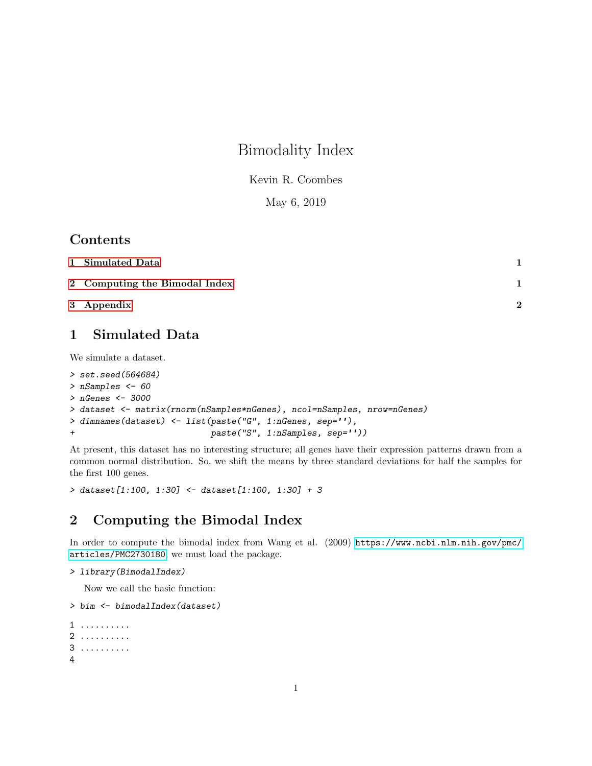# Bimodality Index

Kevin R. Coombes

May 6, 2019

### Contents

| 1 Simulated Data              |   |
|-------------------------------|---|
| 2 Computing the Bimodal Index |   |
| 3 Appendix                    | າ |

### <span id="page-0-0"></span>1 Simulated Data

We simulate a dataset.

```
> set.seed(564684)
> nSamples <- 60
> nGenes <- 3000
> dataset <- matrix(rnorm(nSamples*nGenes), ncol=nSamples, nrow=nGenes)
> dimnames(dataset) <- list(paste("G", 1:nGenes, sep=''),
+ paste("S", 1:nSamples, sep=''))
```
At present, this dataset has no interesting structure; all genes have their expression patterns drawn from a common normal distribution. So, we shift the means by three standard deviations for half the samples for the first 100 genes.

> dataset[1:100, 1:30] <- dataset[1:100, 1:30] + 3

### <span id="page-0-1"></span>2 Computing the Bimodal Index

In order to compute the bimodal index from Wang et al. (2009) [https://www.ncbi.nlm.nih.gov/pmc/](https://www.ncbi.nlm.nih.gov/pmc/articles/PMC2730180) [articles/PMC2730180](https://www.ncbi.nlm.nih.gov/pmc/articles/PMC2730180), we must load the package.

```
> library(BimodalIndex)
```
Now we call the basic function:

```
> bim <- bimodalIndex(dataset)
1 ..........
2 ..........
```

```
3 ..........
4
```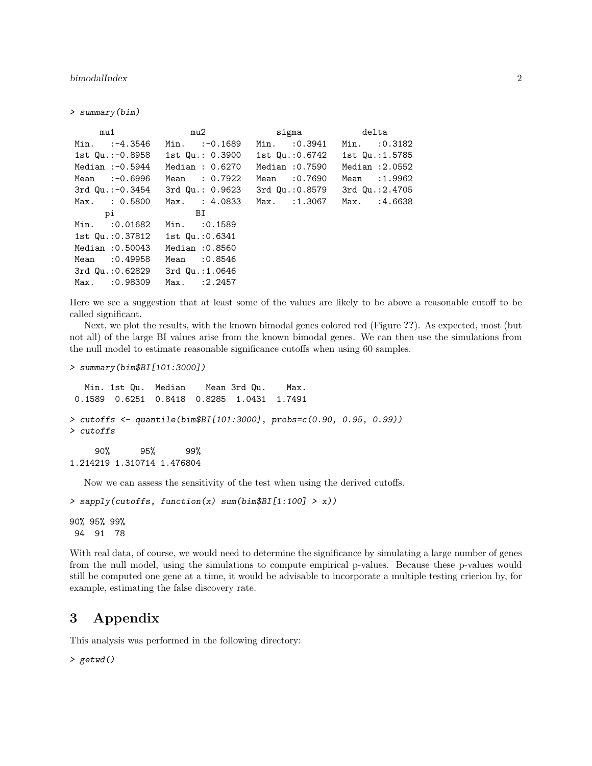bimodalIndex 2

> summary(bim)

| mu1                              |                                 | mu2 sigma delta                 |                 |
|----------------------------------|---------------------------------|---------------------------------|-----------------|
| $Min.$ $:-4.3546$                | Min. $:-0.1689$                 | Min. : 0.3941                   | Min. : 0.3182   |
| 1st Qu.:-0.8958                  | 1st Qu.: 0.3900                 | 1st Qu.: 0.6742 1st Qu.: 1.5785 |                 |
| Median $:-0.5944$                | Median: $0.6270$                | Median :0.7590                  | Median : 2.0552 |
| Mean $:-0.6996$                  | Mean : 0.7922                   | Mean : 0.7690                   | Mean : 1.9962   |
|                                  | 3rd Qu.:-0.3454 3rd Qu.: 0.9623 | 3rd Qu.:0.8579                  | 3rd Qu.:2.4705  |
| Max. : 0.5800                    | Max. : 4.0833                   | Max. :1.3067                    | Max. : 4.6638   |
| рi                               | BI                              |                                 |                 |
| Min. : 0.01682                   | Min. : 0.1589                   |                                 |                 |
| 1st Qu.: 0.37812 1st Qu.: 0.6341 |                                 |                                 |                 |
| Median :0.50043                  | Median : 0.8560                 |                                 |                 |
| Mean : 0.49958                   | Mean : 0.8546                   |                                 |                 |
| 3rd Qu.:0.62829                  | 3rd Qu.:1.0646                  |                                 |                 |
| Max. : 0.98309                   | Max. : 2.2457                   |                                 |                 |

Here we see a suggestion that at least some of the values are likely to be above a reasonable cutoff to be called significant.

Next, we plot the results, with the known bimodal genes colored red (Figure ??). As expected, most (but not all) of the large BI values arise from the known bimodal genes. We can then use the simulations from the null model to estimate reasonable significance cutoffs when using 60 samples.

```
> summary(bim$BI[101:3000])
```

```
Min. 1st Qu. Median Mean 3rd Qu. Max.
0.1589 0.6251 0.8418 0.8285 1.0431 1.7491
> cutoffs <- quantile(bim$BI[101:3000], probs=c(0.90, 0.95, 0.99))
> cutoffs
    90% 95% 99%
1.214219 1.310714 1.476804
```
Now we can assess the sensitivity of the test when using the derived cutoffs.

```
> sapply(cutoffs, function(x) sum(bim$BI[1:100] > x))
90% 95% 99%
94 91 78
```
With real data, of course, we would need to determine the significance by simulating a large number of genes from the null model, using the simulations to compute empirical p-values. Because these p-values would still be computed one gene at a time, it would be advisable to incorporate a multiple testing crierion by, for example, estimating the false discovery rate.

# <span id="page-1-0"></span>3 Appendix

This analysis was performed in the following directory:

```
> getwd()
```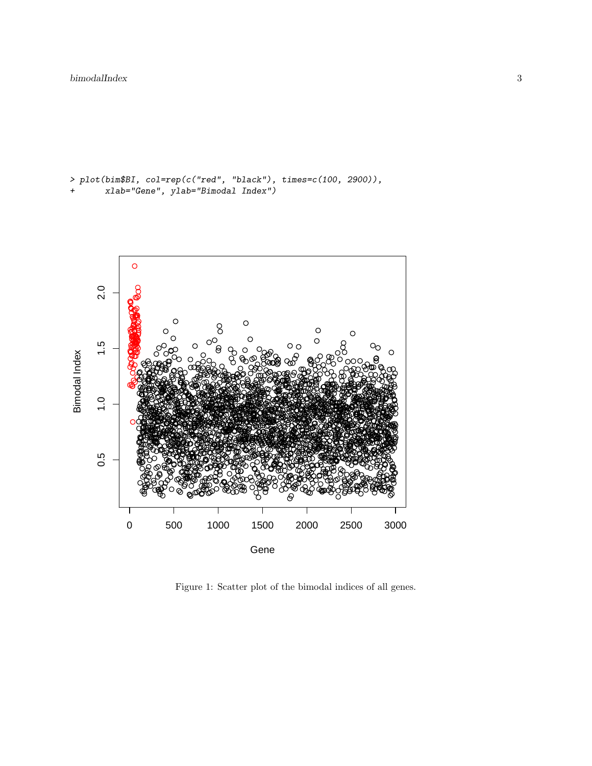```
> plot(bim$BI, col=rep(c("red", "black"), times=c(100, 2900)),xlab="Gene", ylab="Bimodal Index")
```


Figure 1: Scatter plot of the bimodal indices of all genes.